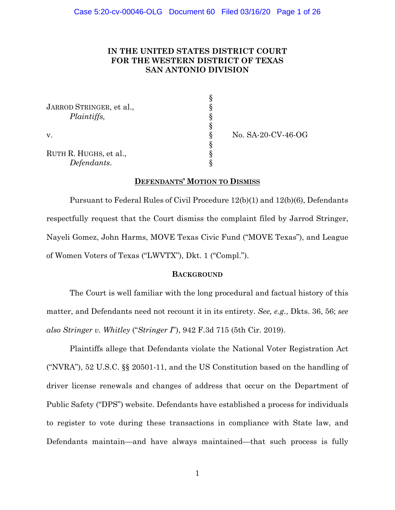## **IN THE UNITED STATES DISTRICT COURT FOR THE WESTERN DISTRICT OF TEXAS SAN ANTONIO DIVISION**

| JARROD STRINGER, et al.,<br>Plaintiffs, |  |
|-----------------------------------------|--|
| V.                                      |  |
| RUTH R. HUGHS, et al.,                  |  |
| Defendants.                             |  |

v. § No. SA-20-CV-46-OG

## **DEFENDANTS' MOTION TO DISMISS**

Pursuant to Federal Rules of Civil Procedure 12(b)(1) and 12(b)(6), Defendants respectfully request that the Court dismiss the complaint filed by Jarrod Stringer, Nayeli Gomez, John Harms, MOVE Texas Civic Fund ("MOVE Texas"), and League of Women Voters of Texas ("LWVTX"), Dkt. 1 ("Compl.").

### **BACKGROUND**

The Court is well familiar with the long procedural and factual history of this matter, and Defendants need not recount it in its entirety. *See, e.g.*, Dkts. 36, 56; *see also Stringer v. Whitley* ("*Stringer I*"), 942 F.3d 715 (5th Cir. 2019).

Plaintiffs allege that Defendants violate the National Voter Registration Act ("NVRA"), 52 U.S.C. §§ 20501-11, and the US Constitution based on the handling of driver license renewals and changes of address that occur on the Department of Public Safety ("DPS") website. Defendants have established a process for individuals to register to vote during these transactions in compliance with State law, and Defendants maintain—and have always maintained—that such process is fully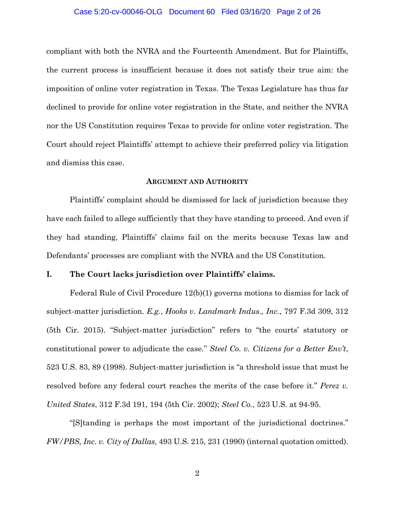#### Case 5:20-cv-00046-OLG Document 60 Filed 03/16/20 Page 2 of 26

compliant with both the NVRA and the Fourteenth Amendment. But for Plaintiffs, the current process is insufficient because it does not satisfy their true aim: the imposition of online voter registration in Texas. The Texas Legislature has thus far declined to provide for online voter registration in the State, and neither the NVRA nor the US Constitution requires Texas to provide for online voter registration. The Court should reject Plaintiffs' attempt to achieve their preferred policy via litigation and dismiss this case.

### **ARGUMENT AND AUTHORITY**

Plaintiffs' complaint should be dismissed for lack of jurisdiction because they have each failed to allege sufficiently that they have standing to proceed. And even if they had standing, Plaintiffs' claims fail on the merits because Texas law and Defendants' processes are compliant with the NVRA and the US Constitution.

### **I. The Court lacks jurisdiction over Plaintiffs' claims.**

Federal Rule of Civil Procedure 12(b)(1) governs motions to dismiss for lack of subject-matter jurisdiction. *E.g.*, *Hooks v. Landmark Indus., Inc.*, 797 F.3d 309, 312 (5th Cir. 2015). "Subject-matter jurisdiction" refers to "the courts' statutory or constitutional power to adjudicate the case." *Steel Co. v. Citizens for a Better Env't*, 523 U.S. 83, 89 (1998). Subject-matter jurisdiction is "a threshold issue that must be resolved before any federal court reaches the merits of the case before it." *Perez v. United States*, 312 F.3d 191, 194 (5th Cir. 2002); *Steel Co.*, 523 U.S. at 94-95.

"[S]tanding is perhaps the most important of the jurisdictional doctrines." *FW/PBS, Inc. v. City of Dallas*, 493 U.S. 215, 231 (1990) (internal quotation omitted).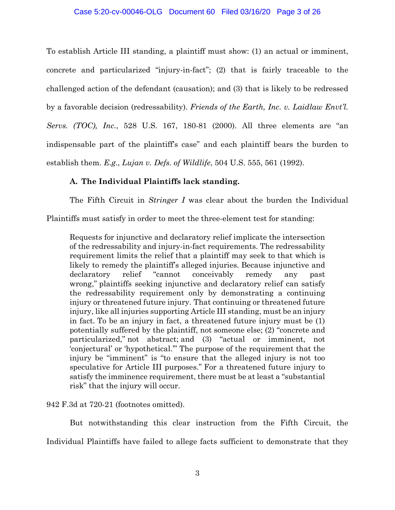#### Case 5:20-cv-00046-OLG Document 60 Filed 03/16/20 Page 3 of 26

To establish Article III standing, a plaintiff must show: (1) an actual or imminent, concrete and particularized "injury-in-fact"; (2) that is fairly traceable to the challenged action of the defendant (causation); and (3) that is likely to be redressed by a favorable decision (redressability). *Friends of the Earth, Inc. v. Laidlaw Envt'l. Servs. (TOC), Inc.*, 528 U.S. 167, 180-81 (2000). All three elements are "an indispensable part of the plaintiff's case" and each plaintiff bears the burden to establish them. *E.g.*, *Lujan v. Defs. of Wildlife*, 504 U.S. 555, 561 (1992).

## **A. The Individual Plaintiffs lack standing.**

The Fifth Circuit in *Stringer I* was clear about the burden the Individual

Plaintiffs must satisfy in order to meet the three-element test for standing:

Requests for injunctive and declaratory relief implicate the intersection of the redressability and injury-in-fact requirements. The redressability requirement limits the relief that a plaintiff may seek to that which is likely to remedy the plaintiff's alleged injuries. Because injunctive and declaratory relief "cannot conceivably remedy any past wrong," plaintiffs seeking injunctive and declaratory relief can satisfy the redressability requirement only by demonstrating a continuing injury or threatened future injury. That continuing or threatened future injury, like all injuries supporting Article III standing, must be an injury in fact. To be an injury in fact, a threatened future injury must be (1) potentially suffered by the plaintiff, not someone else; (2) "concrete and particularized," not abstract; and (3) "actual or imminent, not 'conjectural' or 'hypothetical.'" The purpose of the requirement that the injury be "imminent" is "to ensure that the alleged injury is not too speculative for Article III purposes." For a threatened future injury to satisfy the imminence requirement, there must be at least a "substantial risk" that the injury will occur.

### 942 F.3d at 720-21 (footnotes omitted).

But notwithstanding this clear instruction from the Fifth Circuit, the Individual Plaintiffs have failed to allege facts sufficient to demonstrate that they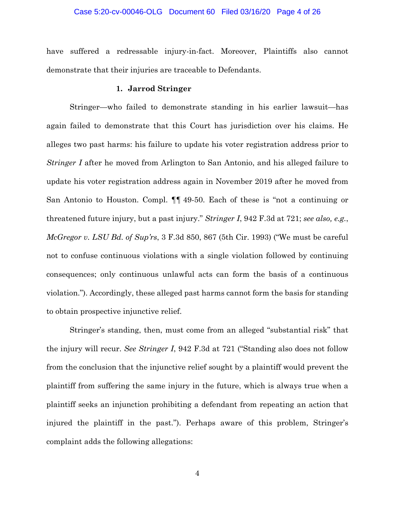#### Case 5:20-cv-00046-OLG Document 60 Filed 03/16/20 Page 4 of 26

have suffered a redressable injury-in-fact. Moreover, Plaintiffs also cannot demonstrate that their injuries are traceable to Defendants.

### **1. Jarrod Stringer**

Stringer—who failed to demonstrate standing in his earlier lawsuit—has again failed to demonstrate that this Court has jurisdiction over his claims. He alleges two past harms: his failure to update his voter registration address prior to *Stringer I* after he moved from Arlington to San Antonio, and his alleged failure to update his voter registration address again in November 2019 after he moved from San Antonio to Houston. Compl. ¶¶ 49-50. Each of these is "not a continuing or threatened future injury, but a past injury." *Stringer I*, 942 F.3d at 721; *see also, e.g.*, *McGregor v. LSU Bd. of Sup'rs*, 3 F.3d 850, 867 (5th Cir. 1993) ("We must be careful not to confuse continuous violations with a single violation followed by continuing consequences; only continuous unlawful acts can form the basis of a continuous violation."). Accordingly, these alleged past harms cannot form the basis for standing to obtain prospective injunctive relief.

Stringer's standing, then, must come from an alleged "substantial risk" that the injury will recur. *See Stringer I*, 942 F.3d at 721 ("Standing also does not follow from the conclusion that the injunctive relief sought by a plaintiff would prevent the plaintiff from suffering the same injury in the future, which is always true when a plaintiff seeks an injunction prohibiting a defendant from repeating an action that injured the plaintiff in the past."). Perhaps aware of this problem, Stringer's complaint adds the following allegations: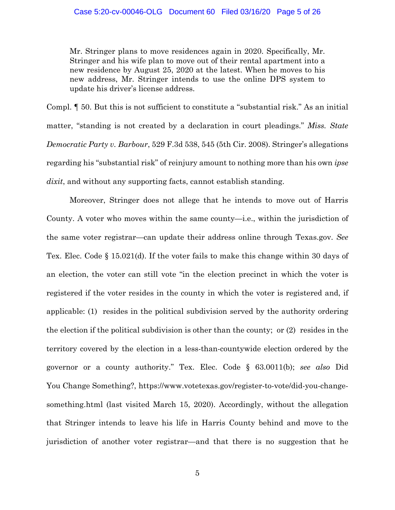Mr. Stringer plans to move residences again in 2020. Specifically, Mr. Stringer and his wife plan to move out of their rental apartment into a new residence by August 25, 2020 at the latest. When he moves to his new address, Mr. Stringer intends to use the online DPS system to update his driver's license address.

Compl. ¶ 50. But this is not sufficient to constitute a "substantial risk." As an initial matter, "standing is not created by a declaration in court pleadings." *Miss. State Democratic Party v. Barbour*, 529 F.3d 538, 545 (5th Cir. 2008). Stringer's allegations regarding his "substantial risk" of reinjury amount to nothing more than his own *ipse dixit*, and without any supporting facts, cannot establish standing.

Moreover, Stringer does not allege that he intends to move out of Harris County. A voter who moves within the same county—i.e., within the jurisdiction of the same voter registrar—can update their address online through Texas.gov. *See* Tex. Elec. Code § 15.021(d). If the voter fails to make this change within 30 days of an election, the voter can still vote "in the election precinct in which the voter is registered if the voter resides in the county in which the voter is registered and, if applicable: (1) resides in the political subdivision served by the authority ordering the election if the political subdivision is other than the county; or (2) resides in the territory covered by the election in a less-than-countywide election ordered by the governor or a county authority." Tex. Elec. Code § 63.0011(b); *see also* Did You Change Something?, https://www.votetexas.gov/register-to-vote/did-you-changesomething.html (last visited March 15, 2020). Accordingly, without the allegation that Stringer intends to leave his life in Harris County behind and move to the jurisdiction of another voter registrar—and that there is no suggestion that he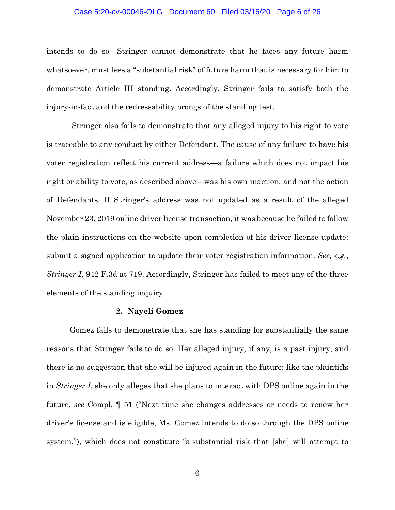#### Case 5:20-cv-00046-OLG Document 60 Filed 03/16/20 Page 6 of 26

intends to do so—Stringer cannot demonstrate that he faces any future harm whatsoever, must less a "substantial risk" of future harm that is necessary for him to demonstrate Article III standing. Accordingly, Stringer fails to satisfy both the injury-in-fact and the redressability prongs of the standing test.

Stringer also fails to demonstrate that any alleged injury to his right to vote is traceable to any conduct by either Defendant. The cause of any failure to have his voter registration reflect his current address—a failure which does not impact his right or ability to vote, as described above—was his own inaction, and not the action of Defendants. If Stringer's address was not updated as a result of the alleged November 23, 2019 online driver license transaction, it was because he failed to follow the plain instructions on the website upon completion of his driver license update: submit a signed application to update their voter registration information. *See, e.g.*, *Stringer I*, 942 F.3d at 719. Accordingly, Stringer has failed to meet any of the three elements of the standing inquiry.

### **2. Nayeli Gomez**

Gomez fails to demonstrate that she has standing for substantially the same reasons that Stringer fails to do so. Her alleged injury, if any, is a past injury, and there is no suggestion that she will be injured again in the future; like the plaintiffs in *Stringer I*, she only alleges that she plans to interact with DPS online again in the future, *see* Compl. ¶ 51 ("Next time she changes addresses or needs to renew her driver's license and is eligible, Ms. Gomez intends to do so through the DPS online system."), which does not constitute "a substantial risk that [she] will attempt to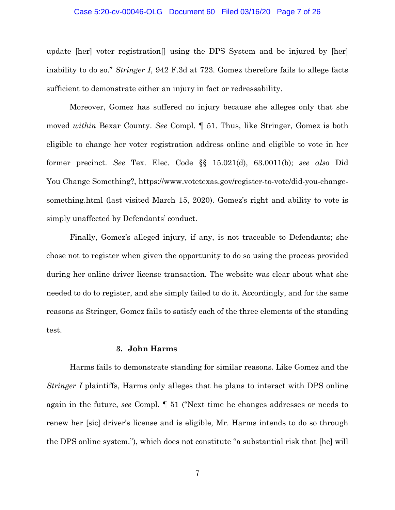#### Case 5:20-cv-00046-OLG Document 60 Filed 03/16/20 Page 7 of 26

update [her] voter registration  $\parallel$  using the DPS System and be injured by [her] inability to do so." *Stringer I*, 942 F.3d at 723. Gomez therefore fails to allege facts sufficient to demonstrate either an injury in fact or redressability.

Moreover, Gomez has suffered no injury because she alleges only that she moved *within* Bexar County. *See* Compl. ¶ 51. Thus, like Stringer, Gomez is both eligible to change her voter registration address online and eligible to vote in her former precinct. *See* Tex. Elec. Code §§ 15.021(d), 63.0011(b); *see also* Did You Change Something?, https://www.votetexas.gov/register-to-vote/did-you-changesomething.html (last visited March 15, 2020). Gomez's right and ability to vote is simply unaffected by Defendants' conduct.

Finally, Gomez's alleged injury, if any, is not traceable to Defendants; she chose not to register when given the opportunity to do so using the process provided during her online driver license transaction. The website was clear about what she needed to do to register, and she simply failed to do it. Accordingly, and for the same reasons as Stringer, Gomez fails to satisfy each of the three elements of the standing test.

#### **3. John Harms**

Harms fails to demonstrate standing for similar reasons. Like Gomez and the *Stringer I* plaintiffs, Harms only alleges that he plans to interact with DPS online again in the future, *see* Compl. ¶ 51 ("Next time he changes addresses or needs to renew her [sic] driver's license and is eligible, Mr. Harms intends to do so through the DPS online system."), which does not constitute "a substantial risk that [he] will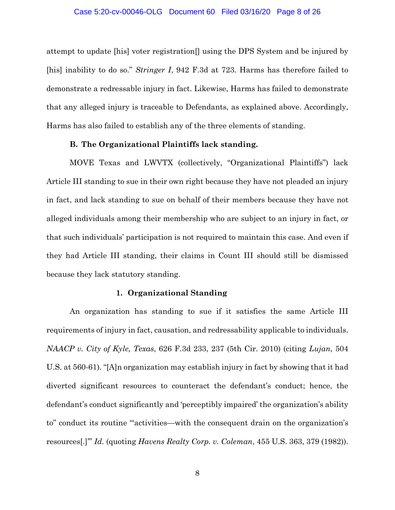#### Case 5:20-cv-00046-OLG Document 60 Filed 03/16/20 Page 8 of 26

attempt to update [his] voter registration[] using the DPS System and be injured by [his] inability to do so." *Stringer I*, 942 F.3d at 723. Harms has therefore failed to demonstrate a redressable injury in fact. Likewise, Harms has failed to demonstrate that any alleged injury is traceable to Defendants, as explained above. Accordingly, Harms has also failed to establish any of the three elements of standing.

#### **B. The Organizational Plaintiffs lack standing.**

MOVE Texas and LWVTX (collectively, "Organizational Plaintiffs") lack Article III standing to sue in their own right because they have not pleaded an injury in fact, and lack standing to sue on behalf of their members because they have not alleged individuals among their membership who are subject to an injury in fact, or that such individuals' participation is not required to maintain this case. And even if they had Article III standing, their claims in Count III should still be dismissed because they lack statutory standing.

#### **1. Organizational Standing**

An organization has standing to sue if it satisfies the same Article III requirements of injury in fact, causation, and redressability applicable to individuals. *NAACP v. City of Kyle, Texas*, 626 F.3d 233, 237 (5th Cir. 2010) (citing *Lujan*, 504 U.S. at 560-61). "[A]n organization may establish injury in fact by showing that it had diverted significant resources to counteract the defendant's conduct; hence, the defendant's conduct significantly and 'perceptibly impaired' the organization's ability to" conduct its routine "'activities—with the consequent drain on the organization's resources[.]'" *Id.* (quoting *Havens Realty Corp. v. Coleman*, 455 U.S. 363, 379 (1982)).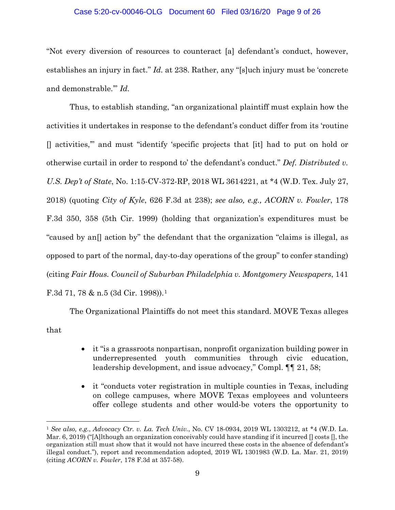#### Case 5:20-cv-00046-OLG Document 60 Filed 03/16/20 Page 9 of 26

"Not every diversion of resources to counteract [a] defendant's conduct, however, establishes an injury in fact." *Id.* at 238. Rather, any "[s]uch injury must be 'concrete and demonstrable.'" *Id.* 

Thus, to establish standing, "an organizational plaintiff must explain how the activities it undertakes in response to the defendant's conduct differ from its 'routine [] activities,'" and must "identify 'specific projects that [it] had to put on hold or otherwise curtail in order to respond to' the defendant's conduct." *Def. Distributed v. U.S. Dep't of State*, No. 1:15-CV-372-RP, 2018 WL 3614221, at \*4 (W.D. Tex. July 27, 2018) (quoting *City of Kyle*, 626 F.3d at 238); *see also, e.g., ACORN v. Fowler*, 178 F.3d 350, 358 (5th Cir. 1999) (holding that organization's expenditures must be "caused by an[] action by" the defendant that the organization "claims is illegal, as opposed to part of the normal, day-to-day operations of the group" to confer standing) (citing *Fair Hous. Council of Suburban Philadelphia v. Montgomery Newspapers*, 141 F.3d 71, 78 & n.5 (3d Cir. 1998)).[1](#page-8-0)

The Organizational Plaintiffs do not meet this standard. MOVE Texas alleges that

- it "is a grassroots nonpartisan, nonprofit organization building power in underrepresented youth communities through civic education, leadership development, and issue advocacy," Compl.  $\P\P$  21, 58;
- it "conducts voter registration in multiple counties in Texas, including on college campuses, where MOVE Texas employees and volunteers offer college students and other would-be voters the opportunity to

<span id="page-8-0"></span> <sup>1</sup> *See also, e.g.*, *Advocacy Ctr. v. La. Tech Univ.*, No. CV 18-0934, 2019 WL 1303212, at \*4 (W.D. La. Mar. 6, 2019) ("[A]lthough an organization conceivably could have standing if it incurred  $\eta$  costs  $\eta$ , the organization still must show that it would not have incurred these costs in the absence of defendant's illegal conduct."), report and recommendation adopted, 2019 WL 1301983 (W.D. La. Mar. 21, 2019) (citing *ACORN v. Fowler*, 178 F.3d at 357-58).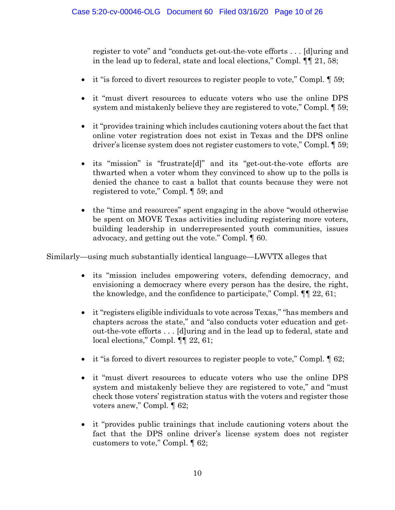register to vote" and "conducts get-out-the-vote efforts . . . [d]uring and in the lead up to federal, state and local elections," Compl. ¶¶ 21, 58;

- it "is forced to divert resources to register people to vote," Compl.  $\llbracket 59; \llbracket 50; \llbracket 50; \llbracket 50; \llbracket 50; \llbracket 50; \llbracket 50; \llbracket 50; \llbracket 50; \llbracket 50; \llbracket 50; \llbracket 50; \llbracket 50; \llbracket 50; \llbracket 50; \llbracket 50; \llbracket 50; \llbracket 50; \llbracket$
- it "must divert resources to educate voters who use the online DPS system and mistakenly believe they are registered to vote," Compl. ¶ 59;
- it "provides training which includes cautioning voters about the fact that online voter registration does not exist in Texas and the DPS online driver's license system does not register customers to vote," Compl. ¶ 59;
- its "mission" is "frustrate[d]" and its "get-out-the-vote efforts are thwarted when a voter whom they convinced to show up to the polls is denied the chance to cast a ballot that counts because they were not registered to vote," Compl. ¶ 59; and
- the "time and resources" spent engaging in the above "would otherwise be spent on MOVE Texas activities including registering more voters, building leadership in underrepresented youth communities, issues advocacy, and getting out the vote." Compl. ¶ 60.

Similarly—using much substantially identical language—LWVTX alleges that

- its "mission includes empowering voters, defending democracy, and envisioning a democracy where every person has the desire, the right, the knowledge, and the confidence to participate," Compl. ¶¶ 22, 61;
- it "registers eligible individuals to vote across Texas," "has members and chapters across the state," and "also conducts voter education and getout-the-vote efforts . . . [d]uring and in the lead up to federal, state and local elections," Compl. **[**¶ 22, 61;
- it "is forced to divert resources to register people to vote," Compl.  $\llbracket 62; \llbracket$
- it "must divert resources to educate voters who use the online DPS system and mistakenly believe they are registered to vote," and "must check those voters' registration status with the voters and register those voters anew," Compl. ¶ 62;
- it "provides public trainings that include cautioning voters about the fact that the DPS online driver's license system does not register customers to vote," Compl. ¶ 62;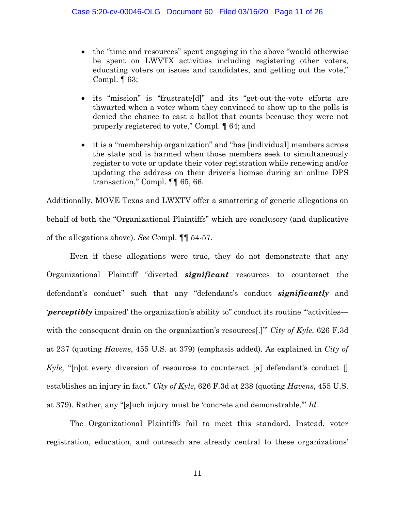- the "time and resources" spent engaging in the above "would otherwise" be spent on LWVTX activities including registering other voters, educating voters on issues and candidates, and getting out the vote," Compl.  $\P$  63;
- its "mission" is "frustrate[d]" and its "get-out-the-vote efforts are thwarted when a voter whom they convinced to show up to the polls is denied the chance to cast a ballot that counts because they were not properly registered to vote," Compl. ¶ 64; and
- it is a "membership organization" and "has [individual] members across the state and is harmed when those members seek to simultaneously register to vote or update their voter registration while renewing and/or updating the address on their driver's license during an online DPS transaction," Compl. ¶¶ 65, 66.

Additionally, MOVE Texas and LWXTV offer a smattering of generic allegations on behalf of both the "Organizational Plaintiffs" which are conclusory (and duplicative of the allegations above). *See* Compl. ¶¶ 54-57.

Even if these allegations were true, they do not demonstrate that any Organizational Plaintiff "diverted *significant* resources to counteract the defendant's conduct" such that any "defendant's conduct *significantly* and '*perceptibly* impaired' the organization's ability to" conduct its routine "'activities with the consequent drain on the organization's resources[.]'" *City of Kyle*, 626 F.3d at 237 (quoting *Havens*, 455 U.S. at 379) (emphasis added). As explained in *City of Kyle*, "[n]ot every diversion of resources to counteract [a] defendant's conduct [] establishes an injury in fact." *City of Kyle*, 626 F.3d at 238 (quoting *Havens*, 455 U.S. at 379). Rather, any "[s]uch injury must be 'concrete and demonstrable.'" *Id.*

The Organizational Plaintiffs fail to meet this standard. Instead, voter registration, education, and outreach are already central to these organizations'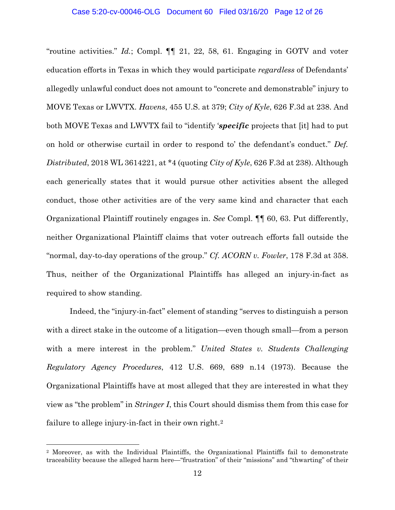"routine activities." *Id.*; Compl. ¶¶ 21, 22, 58, 61. Engaging in GOTV and voter education efforts in Texas in which they would participate *regardless* of Defendants' allegedly unlawful conduct does not amount to "concrete and demonstrable" injury to MOVE Texas or LWVTX. *Havens*, 455 U.S. at 379; *City of Kyle*, 626 F.3d at 238. And both MOVE Texas and LWVTX fail to "identify '*specific* projects that [it] had to put on hold or otherwise curtail in order to respond to' the defendant's conduct." *Def. Distributed*, 2018 WL 3614221, at \*4 (quoting *City of Kyle*, 626 F.3d at 238). Although each generically states that it would pursue other activities absent the alleged conduct, those other activities are of the very same kind and character that each Organizational Plaintiff routinely engages in. *See* Compl. ¶¶ 60, 63. Put differently, neither Organizational Plaintiff claims that voter outreach efforts fall outside the "normal, day-to-day operations of the group." *Cf. ACORN v. Fowler*, 178 F.3d at 358. Thus, neither of the Organizational Plaintiffs has alleged an injury-in-fact as required to show standing.

Indeed, the "injury-in-fact" element of standing "serves to distinguish a person with a direct stake in the outcome of a litigation—even though small—from a person with a mere interest in the problem." *United States v. Students Challenging Regulatory Agency Procedures*, 412 U.S. 669, 689 n.14 (1973). Because the Organizational Plaintiffs have at most alleged that they are interested in what they view as "the problem" in *Stringer I*, this Court should dismiss them from this case for failure to allege injury-in-fact in their own right.<sup>[2](#page-11-0)</sup>

<span id="page-11-0"></span> <sup>2</sup> Moreover, as with the Individual Plaintiffs, the Organizational Plaintiffs fail to demonstrate traceability because the alleged harm here—"frustration" of their "missions" and "thwarting" of their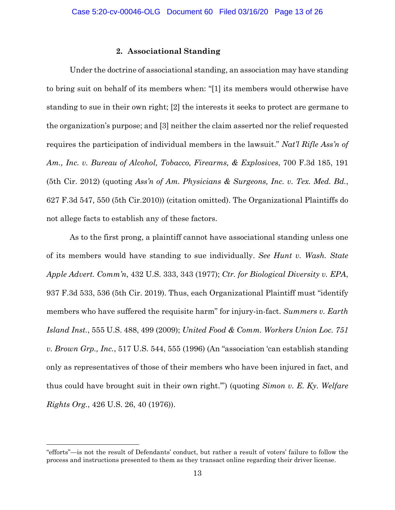### **2. Associational Standing**

Under the doctrine of associational standing, an association may have standing to bring suit on behalf of its members when: "[1] its members would otherwise have standing to sue in their own right; [2] the interests it seeks to protect are germane to the organization's purpose; and [3] neither the claim asserted nor the relief requested requires the participation of individual members in the lawsuit." *Nat'l Rifle Ass'n of Am., Inc. v. Bureau of Alcohol, Tobacco, Firearms, & Explosives*, 700 F.3d 185, 191 (5th Cir. 2012) (quoting *Ass'n of Am. Physicians & Surgeons, Inc. v. Tex. Med. Bd.*, 627 F.3d 547, 550 (5th Cir.2010)) (citation omitted). The Organizational Plaintiffs do not allege facts to establish any of these factors.

As to the first prong, a plaintiff cannot have associational standing unless one of its members would have standing to sue individually. *See Hunt v. Wash. State Apple Advert. Comm'n*, 432 U.S. 333, 343 (1977); *Ctr. for Biological Diversity v. EPA*, 937 F.3d 533, 536 (5th Cir. 2019). Thus, each Organizational Plaintiff must "identify members who have suffered the requisite harm" for injury-in-fact. *Summers v. Earth Island Inst.*, 555 U.S. 488, 499 (2009); *United Food & Comm. Workers Union Loc. 751 v. Brown Grp., Inc.*, 517 U.S. 544, 555 (1996) (An "association 'can establish standing only as representatives of those of their members who have been injured in fact, and thus could have brought suit in their own right.'") (quoting *Simon v. E. Ky. Welfare Rights Org.*, 426 U.S. 26, 40 (1976)).

 $\overline{a}$ 

<sup>&</sup>quot;efforts"—is not the result of Defendants' conduct, but rather a result of voters' failure to follow the process and instructions presented to them as they transact online regarding their driver license.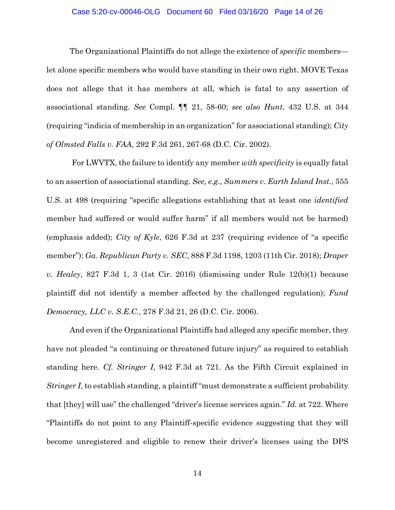#### Case 5:20-cv-00046-OLG Document 60 Filed 03/16/20 Page 14 of 26

The Organizational Plaintiffs do not allege the existence of *specific* members let alone specific members who would have standing in their own right. MOVE Texas does not allege that it has members at all, which is fatal to any assertion of associational standing. *See* Compl. ¶¶ 21, 58-60; *see also Hunt*, 432 U.S. at 344 (requiring "indicia of membership in an organization" for associational standing); *City of Olmsted Falls v. FAA*, 292 F.3d 261, 267-68 (D.C. Cir. 2002).

For LWVTX, the failure to identify any member *with specificity* is equally fatal to an assertion of associational standing. *See, e.g., Summers v. Earth Island Inst.*, 555 U.S. at 498 (requiring "specific allegations establishing that at least one *identified*  member had suffered or would suffer harm" if all members would not be harmed) (emphasis added); *City of Kyle*, 626 F.3d at 237 (requiring evidence of "a specific member"); *Ga. Republican Party v. SEC*, 888 F.3d 1198, 1203 (11th Cir. 2018); *Draper v. Healey*, 827 F.3d 1, 3 (1st Cir. 2016) (dismissing under Rule 12(b)(1) because plaintiff did not identify a member affected by the challenged regulation); *Fund Democracy, LLC v. S.E.C.*, 278 F.3d 21, 26 (D.C. Cir. 2006).

And even if the Organizational Plaintiffs had alleged any specific member, they have not pleaded "a continuing or threatened future injury" as required to establish standing here. *Cf. Stringer I*, 942 F.3d at 721. As the Fifth Circuit explained in *Stringer I*, to establish standing, a plaintiff "must demonstrate a sufficient probability that [they] will use" the challenged "driver's license services again." *Id.* at 722. Where "Plaintiffs do not point to any Plaintiff-specific evidence suggesting that they will become unregistered and eligible to renew their driver's licenses using the DPS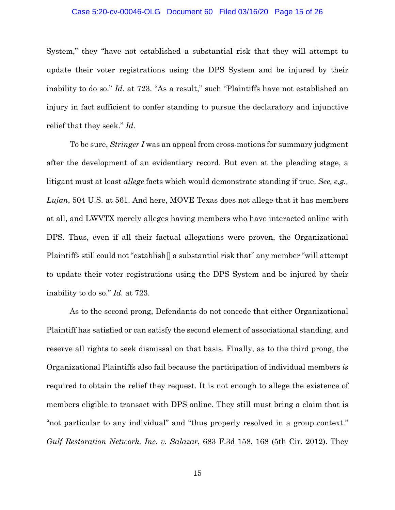#### Case 5:20-cv-00046-OLG Document 60 Filed 03/16/20 Page 15 of 26

System," they "have not established a substantial risk that they will attempt to update their voter registrations using the DPS System and be injured by their inability to do so." *Id.* at 723. "As a result," such "Plaintiffs have not established an injury in fact sufficient to confer standing to pursue the declaratory and injunctive relief that they seek." *Id.*

To be sure, *Stringer I* was an appeal from cross-motions for summary judgment after the development of an evidentiary record. But even at the pleading stage, a litigant must at least *allege* facts which would demonstrate standing if true. *See, e.g., Lujan*, 504 U.S. at 561. And here, MOVE Texas does not allege that it has members at all, and LWVTX merely alleges having members who have interacted online with DPS. Thus, even if all their factual allegations were proven, the Organizational Plaintiffs still could not "establish[] a substantial risk that" any member "will attempt to update their voter registrations using the DPS System and be injured by their inability to do so." *Id.* at 723.

As to the second prong, Defendants do not concede that either Organizational Plaintiff has satisfied or can satisfy the second element of associational standing, and reserve all rights to seek dismissal on that basis. Finally, as to the third prong, the Organizational Plaintiffs also fail because the participation of individual members *is*  required to obtain the relief they request. It is not enough to allege the existence of members eligible to transact with DPS online. They still must bring a claim that is "not particular to any individual" and "thus properly resolved in a group context." *Gulf Restoration Network, Inc. v. Salazar*, 683 F.3d 158, 168 (5th Cir. 2012). They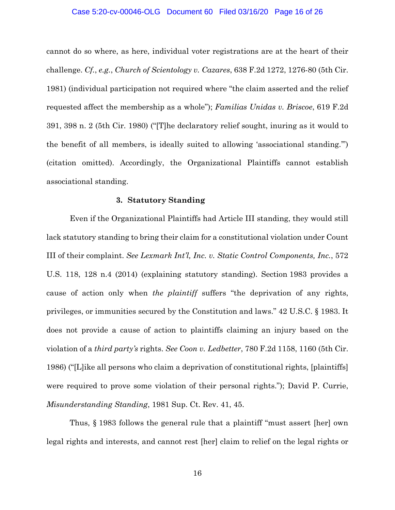#### Case 5:20-cv-00046-OLG Document 60 Filed 03/16/20 Page 16 of 26

cannot do so where, as here, individual voter registrations are at the heart of their challenge. *Cf.*, *e.g.*, *Church of Scientology v. Cazares*, 638 F.2d 1272, 1276-80 (5th Cir. 1981) (individual participation not required where "the claim asserted and the relief requested affect the membership as a whole"); *Familias Unidas v. Briscoe*, 619 F.2d 391, 398 n. 2 (5th Cir. 1980) ("[T]he declaratory relief sought, inuring as it would to the benefit of all members, is ideally suited to allowing 'associational standing.'") (citation omitted). Accordingly, the Organizational Plaintiffs cannot establish associational standing.

#### **3. Statutory Standing**

Even if the Organizational Plaintiffs had Article III standing, they would still lack statutory standing to bring their claim for a constitutional violation under Count III of their complaint. *See Lexmark Int'l, Inc. v. Static Control Components, Inc.*, 572 U.S. 118, 128 n.4 (2014) (explaining statutory standing). Section 1983 provides a cause of action only when *the plaintiff* suffers "the deprivation of any rights, privileges, or immunities secured by the Constitution and laws." 42 U.S.C. § 1983. It does not provide a cause of action to plaintiffs claiming an injury based on the violation of a *third party's* rights. *See Coon v. Ledbetter*, 780 F.2d 1158, 1160 (5th Cir. 1986) ("[L]ike all persons who claim a deprivation of constitutional rights, [plaintiffs] were required to prove some violation of their personal rights."); David P. Currie, *Misunderstanding Standing*, 1981 Sup. Ct. Rev. 41, 45.

Thus, § 1983 follows the general rule that a plaintiff "must assert [her] own legal rights and interests, and cannot rest [her] claim to relief on the legal rights or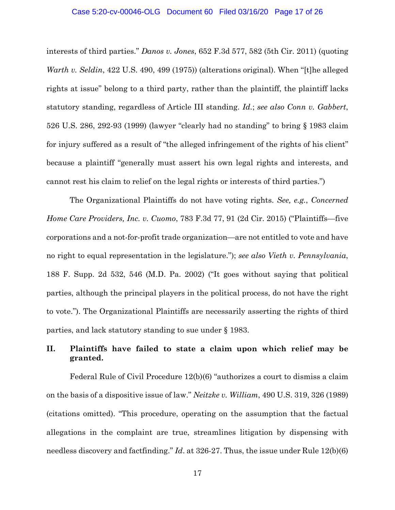#### Case 5:20-cv-00046-OLG Document 60 Filed 03/16/20 Page 17 of 26

interests of third parties." *Danos v. Jones*, 652 F.3d 577, 582 (5th Cir. 2011) (quoting *Warth v. Seldin*, 422 U.S. 490, 499 (1975)) (alterations original). When "[t]he alleged rights at issue" belong to a third party, rather than the plaintiff, the plaintiff lacks statutory standing, regardless of Article III standing. *Id.*; *see also Conn v. Gabbert*, 526 U.S. 286, 292-93 (1999) (lawyer "clearly had no standing" to bring § 1983 claim for injury suffered as a result of "the alleged infringement of the rights of his client" because a plaintiff "generally must assert his own legal rights and interests, and cannot rest his claim to relief on the legal rights or interests of third parties.")

The Organizational Plaintiffs do not have voting rights. *See, e.g.*, *Concerned Home Care Providers, Inc. v. Cuomo*, 783 F.3d 77, 91 (2d Cir. 2015) ("Plaintiffs—five corporations and a not-for-profit trade organization—are not entitled to vote and have no right to equal representation in the legislature."); *see also Vieth v. Pennsylvania*, 188 F. Supp. 2d 532, 546 (M.D. Pa. 2002) ("It goes without saying that political parties, although the principal players in the political process, do not have the right to vote."). The Organizational Plaintiffs are necessarily asserting the rights of third parties, and lack statutory standing to sue under § 1983.

# **II. Plaintiffs have failed to state a claim upon which relief may be granted.**

Federal Rule of Civil Procedure 12(b)(6) "authorizes a court to dismiss a claim on the basis of a dispositive issue of law." *Neitzke v. William*, 490 U.S. 319, 326 (1989) (citations omitted). "This procedure, operating on the assumption that the factual allegations in the complaint are true, streamlines litigation by dispensing with needless discovery and factfinding." *Id*. at 326-27. Thus, the issue under Rule 12(b)(6)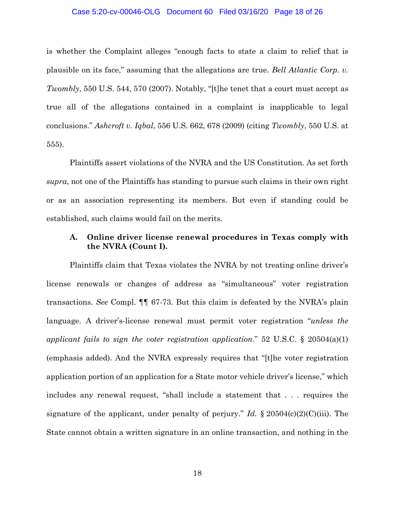#### Case 5:20-cv-00046-OLG Document 60 Filed 03/16/20 Page 18 of 26

is whether the Complaint alleges "enough facts to state a claim to relief that is plausible on its face," assuming that the allegations are true. *Bell Atlantic Corp. v. Twombly*, 550 U.S. 544, 570 (2007). Notably, "[t]he tenet that a court must accept as true all of the allegations contained in a complaint is inapplicable to legal conclusions." *Ashcroft v. Iqbal*, 556 U.S. 662, 678 (2009) (citing *Twombly*, 550 U.S. at 555).

Plaintiffs assert violations of the NVRA and the US Constitution. As set forth *supra*, not one of the Plaintiffs has standing to pursue such claims in their own right or as an association representing its members. But even if standing could be established, such claims would fail on the merits.

# **A. Online driver license renewal procedures in Texas comply with the NVRA (Count I).**

Plaintiffs claim that Texas violates the NVRA by not treating online driver's license renewals or changes of address as "simultaneous" voter registration transactions. *See* Compl. ¶¶ 67-73. But this claim is defeated by the NVRA's plain language. A driver's-license renewal must permit voter registration "*unless the applicant fails to sign the voter registration application*." 52 U.S.C. § 20504(a)(1) (emphasis added). And the NVRA expressly requires that "[t]he voter registration application portion of an application for a State motor vehicle driver's license," which includes any renewal request, "shall include a statement that . . . requires the signature of the applicant, under penalty of perjury." *Id.* § 20504(c)(2)(C)(iii). The State cannot obtain a written signature in an online transaction, and nothing in the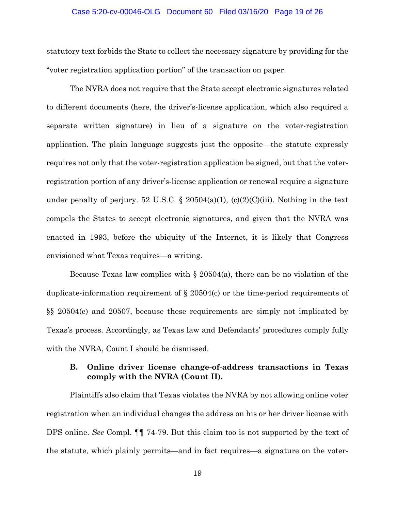#### Case 5:20-cv-00046-OLG Document 60 Filed 03/16/20 Page 19 of 26

statutory text forbids the State to collect the necessary signature by providing for the "voter registration application portion" of the transaction on paper.

The NVRA does not require that the State accept electronic signatures related to different documents (here, the driver's-license application, which also required a separate written signature) in lieu of a signature on the voter-registration application. The plain language suggests just the opposite—the statute expressly requires not only that the voter-registration application be signed, but that the voterregistration portion of any driver's-license application or renewal require a signature under penalty of perjury. 52 U.S.C. § 20504(a)(1), (c)(2)(C)(iii). Nothing in the text compels the States to accept electronic signatures, and given that the NVRA was enacted in 1993, before the ubiquity of the Internet, it is likely that Congress envisioned what Texas requires—a writing.

Because Texas law complies with  $\S 20504(a)$ , there can be no violation of the duplicate-information requirement of § 20504(c) or the time-period requirements of §§ 20504(e) and 20507, because these requirements are simply not implicated by Texas's process. Accordingly, as Texas law and Defendants' procedures comply fully with the NVRA, Count I should be dismissed.

## **B. Online driver license change-of-address transactions in Texas comply with the NVRA (Count II).**

Plaintiffs also claim that Texas violates the NVRA by not allowing online voter registration when an individual changes the address on his or her driver license with DPS online. *See* Compl. ¶¶ 74-79. But this claim too is not supported by the text of the statute, which plainly permits—and in fact requires—a signature on the voter-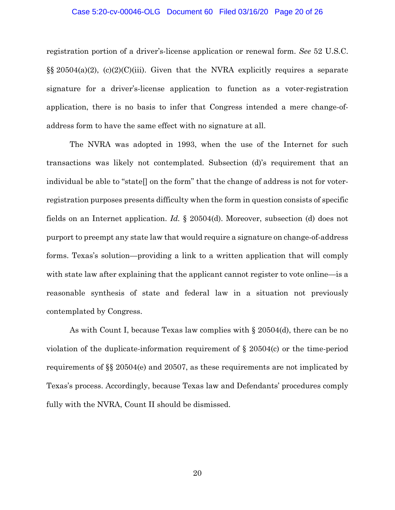#### Case 5:20-cv-00046-OLG Document 60 Filed 03/16/20 Page 20 of 26

registration portion of a driver's-license application or renewal form. *See* 52 U.S.C.  $\S$ § 20504(a)(2), (c)(2)(C)(iii). Given that the NVRA explicitly requires a separate signature for a driver's-license application to function as a voter-registration application, there is no basis to infer that Congress intended a mere change-ofaddress form to have the same effect with no signature at all.

The NVRA was adopted in 1993, when the use of the Internet for such transactions was likely not contemplated. Subsection (d)'s requirement that an individual be able to "state[] on the form" that the change of address is not for voterregistration purposes presents difficulty when the form in question consists of specific fields on an Internet application. *Id.* § 20504(d). Moreover, subsection (d) does not purport to preempt any state law that would require a signature on change-of-address forms. Texas's solution—providing a link to a written application that will comply with state law after explaining that the applicant cannot register to vote online—is a reasonable synthesis of state and federal law in a situation not previously contemplated by Congress.

As with Count I, because Texas law complies with § 20504(d), there can be no violation of the duplicate-information requirement of § 20504(c) or the time-period requirements of §§ 20504(e) and 20507, as these requirements are not implicated by Texas's process. Accordingly, because Texas law and Defendants' procedures comply fully with the NVRA, Count II should be dismissed.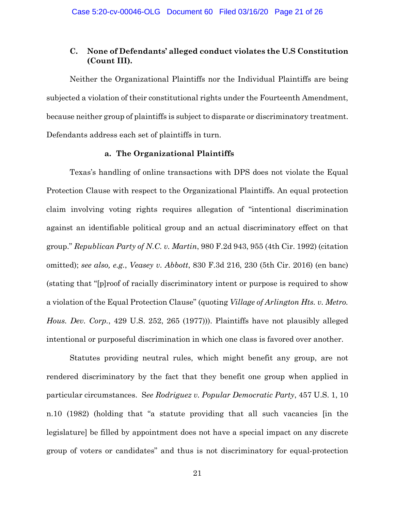# **C. None of Defendants' alleged conduct violates the U.S Constitution (Count III).**

Neither the Organizational Plaintiffs nor the Individual Plaintiffs are being subjected a violation of their constitutional rights under the Fourteenth Amendment, because neither group of plaintiffs is subject to disparate or discriminatory treatment. Defendants address each set of plaintiffs in turn.

### **a. The Organizational Plaintiffs**

Texas's handling of online transactions with DPS does not violate the Equal Protection Clause with respect to the Organizational Plaintiffs. An equal protection claim involving voting rights requires allegation of "intentional discrimination against an identifiable political group and an actual discriminatory effect on that group." *Republican Party of N.C. v. Martin*, 980 F.2d 943, 955 (4th Cir. 1992) (citation omitted); *see also, e.g.*, *Veasey v. Abbott*, 830 F.3d 216, 230 (5th Cir. 2016) (en banc) (stating that "[p]roof of racially discriminatory intent or purpose is required to show a violation of the Equal Protection Clause" (quoting *Village of Arlington Hts. v. Metro. Hous. Dev. Corp.*, 429 U.S. 252, 265 (1977))). Plaintiffs have not plausibly alleged intentional or purposeful discrimination in which one class is favored over another.

Statutes providing neutral rules, which might benefit any group, are not rendered discriminatory by the fact that they benefit one group when applied in particular circumstances. S*ee Rodriguez v. Popular Democratic Party*, 457 U.S. 1, 10 n.10 (1982) (holding that "a statute providing that all such vacancies [in the legislature] be filled by appointment does not have a special impact on any discrete group of voters or candidates" and thus is not discriminatory for equal-protection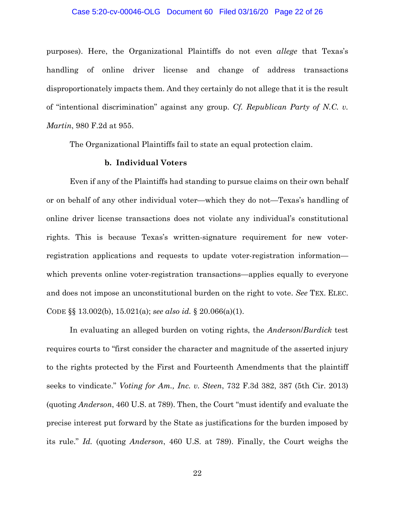#### Case 5:20-cv-00046-OLG Document 60 Filed 03/16/20 Page 22 of 26

purposes). Here, the Organizational Plaintiffs do not even *allege* that Texas's handling of online driver license and change of address transactions disproportionately impacts them. And they certainly do not allege that it is the result of "intentional discrimination" against any group. *Cf. Republican Party of N.C. v. Martin*, 980 F.2d at 955.

The Organizational Plaintiffs fail to state an equal protection claim.

## **b. Individual Voters**

Even if any of the Plaintiffs had standing to pursue claims on their own behalf or on behalf of any other individual voter—which they do not—Texas's handling of online driver license transactions does not violate any individual's constitutional rights. This is because Texas's written-signature requirement for new voterregistration applications and requests to update voter-registration information which prevents online voter-registration transactions—applies equally to everyone and does not impose an unconstitutional burden on the right to vote. *See* TEX. ELEC. CODE §§ 13.002(b), 15.021(a); *see also id.* § 20.066(a)(1).

In evaluating an alleged burden on voting rights, the *Anderson*/*Burdick* test requires courts to "first consider the character and magnitude of the asserted injury to the rights protected by the First and Fourteenth Amendments that the plaintiff seeks to vindicate." *Voting for Am., Inc. v. Steen*, 732 F.3d 382, 387 (5th Cir. 2013) (quoting *Anderson*, 460 U.S. at 789). Then, the Court "must identify and evaluate the precise interest put forward by the State as justifications for the burden imposed by its rule." *Id.* (quoting *Anderson*, 460 U.S. at 789). Finally, the Court weighs the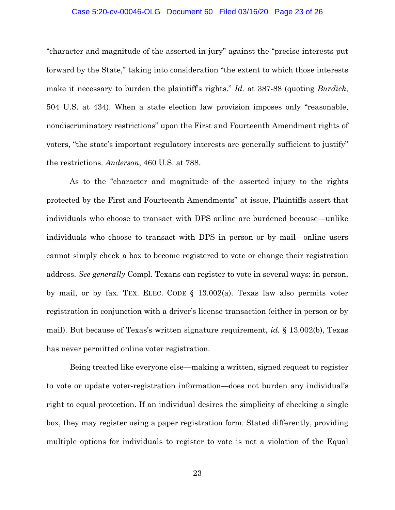#### Case 5:20-cv-00046-OLG Document 60 Filed 03/16/20 Page 23 of 26

"character and magnitude of the asserted in-jury" against the "precise interests put forward by the State," taking into consideration "the extent to which those interests make it necessary to burden the plaintiff's rights." *Id.* at 387-88 (quoting *Burdick*, 504 U.S. at 434). When a state election law provision imposes only "reasonable, nondiscriminatory restrictions" upon the First and Fourteenth Amendment rights of voters, "the state's important regulatory interests are generally sufficient to justify" the restrictions. *Anderson*, 460 U.S. at 788.

As to the "character and magnitude of the asserted injury to the rights protected by the First and Fourteenth Amendments" at issue, Plaintiffs assert that individuals who choose to transact with DPS online are burdened because—unlike individuals who choose to transact with DPS in person or by mail—online users cannot simply check a box to become registered to vote or change their registration address. *See generally* Compl. Texans can register to vote in several ways: in person, by mail, or by fax. TEX. ELEC. CODE § 13.002(a). Texas law also permits voter registration in conjunction with a driver's license transaction (either in person or by mail). But because of Texas's written signature requirement, *id.* § 13.002(b), Texas has never permitted online voter registration.

Being treated like everyone else—making a written, signed request to register to vote or update voter-registration information—does not burden any individual's right to equal protection. If an individual desires the simplicity of checking a single box, they may register using a paper registration form. Stated differently, providing multiple options for individuals to register to vote is not a violation of the Equal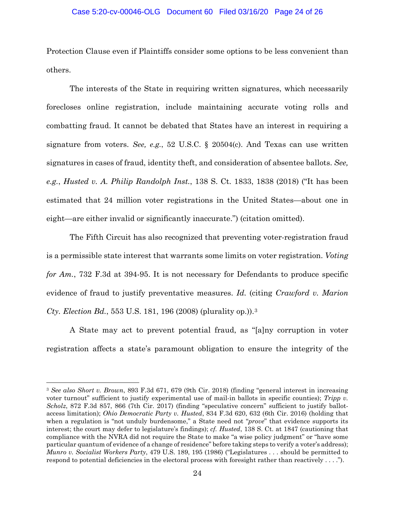#### Case 5:20-cv-00046-OLG Document 60 Filed 03/16/20 Page 24 of 26

Protection Clause even if Plaintiffs consider some options to be less convenient than others.

The interests of the State in requiring written signatures, which necessarily forecloses online registration, include maintaining accurate voting rolls and combatting fraud. It cannot be debated that States have an interest in requiring a signature from voters. *See, e.g.*, 52 U.S.C. § 20504(c). And Texas can use written signatures in cases of fraud, identity theft, and consideration of absentee ballots. *See, e.g.*, *Husted v. A. Philip Randolph Inst.*, 138 S. Ct. 1833, 1838 (2018) ("It has been estimated that 24 million voter registrations in the United States—about one in eight—are either invalid or significantly inaccurate.") (citation omitted).

The Fifth Circuit has also recognized that preventing voter-registration fraud is a permissible state interest that warrants some limits on voter registration. *Voting for Am.*, 732 F.3d at 394-95. It is not necessary for Defendants to produce specific evidence of fraud to justify preventative measures. *Id.* (citing *Crawford v. Marion Cty. Election Bd.*, 553 U.S. 181, 196 (2008) (plurality op.)).[3](#page-23-0)

A State may act to prevent potential fraud, as "[a]ny corruption in voter registration affects a state's paramount obligation to ensure the integrity of the

<span id="page-23-0"></span> <sup>3</sup> *See also Short v. Brown*, 893 F.3d 671, 679 (9th Cir. 2018) (finding "general interest in increasing voter turnout" sufficient to justify experimental use of mail-in ballots in specific counties); *Tripp v. Scholz*, 872 F.3d 857, 866 (7th Cir. 2017) (finding "speculative concern" sufficient to justify ballotaccess limitation); *Ohio Democratic Party v. Husted*, 834 F.3d 620, 632 (6th Cir. 2016) (holding that when a regulation is "not unduly burdensome," a State need not "*prove*" that evidence supports its interest; the court may defer to legislature's findings); *cf. Husted*, 138 S. Ct. at 1847 (cautioning that compliance with the NVRA did not require the State to make "a wise policy judgment" or "have some particular quantum of evidence of a change of residence" before taking steps to verify a voter's address); *Munro v. Socialist Workers Party*, 479 U.S. 189, 195 (1986) ("Legislatures . . . should be permitted to respond to potential deficiencies in the electoral process with foresight rather than reactively . . . .").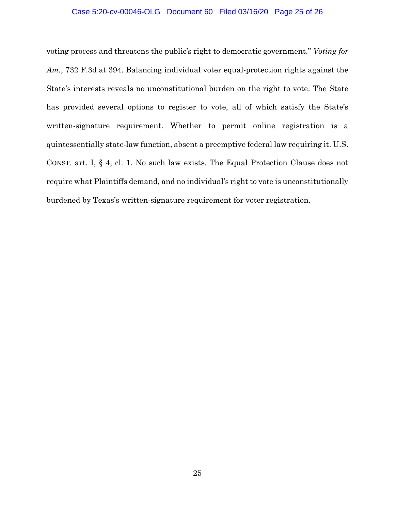#### Case 5:20-cv-00046-OLG Document 60 Filed 03/16/20 Page 25 of 26

voting process and threatens the public's right to democratic government." *Voting for Am.*, 732 F.3d at 394. Balancing individual voter equal-protection rights against the State's interests reveals no unconstitutional burden on the right to vote. The State has provided several options to register to vote, all of which satisfy the State's written-signature requirement. Whether to permit online registration is a quintessentially state-law function, absent a preemptive federal law requiring it. U.S. CONST. art. I, § 4, cl. 1. No such law exists. The Equal Protection Clause does not require what Plaintiffs demand, and no individual's right to vote is unconstitutionally burdened by Texas's written-signature requirement for voter registration.